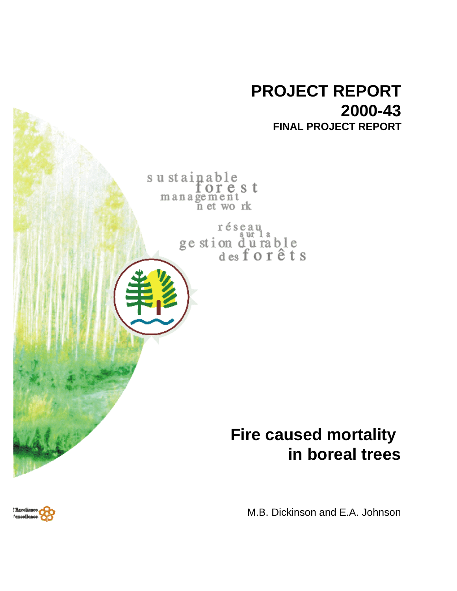

M.B. Dickinson and E.A. Johnson

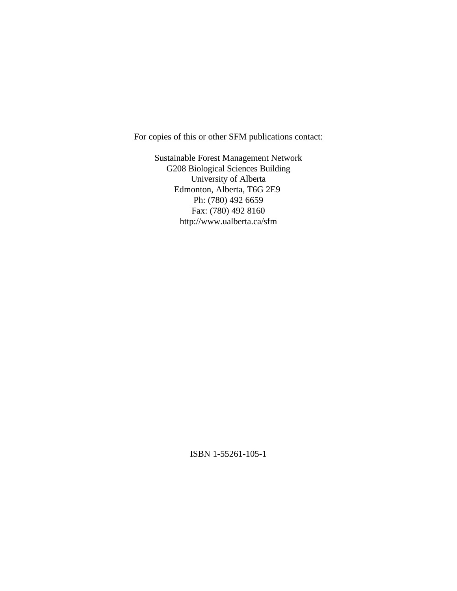For copies of this or other SFM publications contact:

Sustainable Forest Management Network G208 Biological Sciences Building University of Alberta Edmonton, Alberta, T6G 2E9 Ph: (780) 492 6659 Fax: (780) 492 8160 http://www.ualberta.ca/sfm

ISBN 1-55261-105-1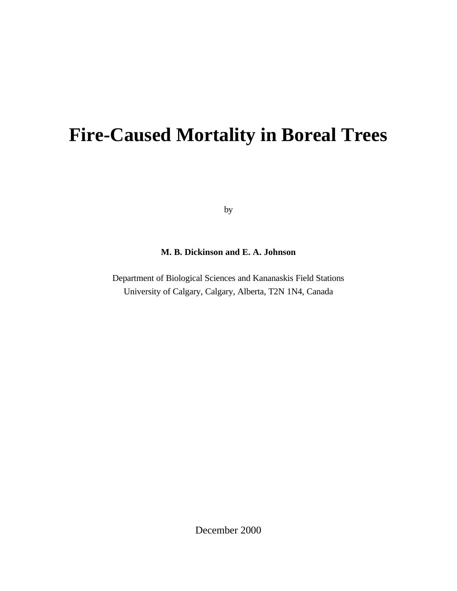# **Fire-Caused Mortality in Boreal Trees**

by

# **M. B. Dickinson and E. A. Johnson**

Department of Biological Sciences and Kananaskis Field Stations University of Calgary, Calgary, Alberta, T2N 1N4, Canada

December 2000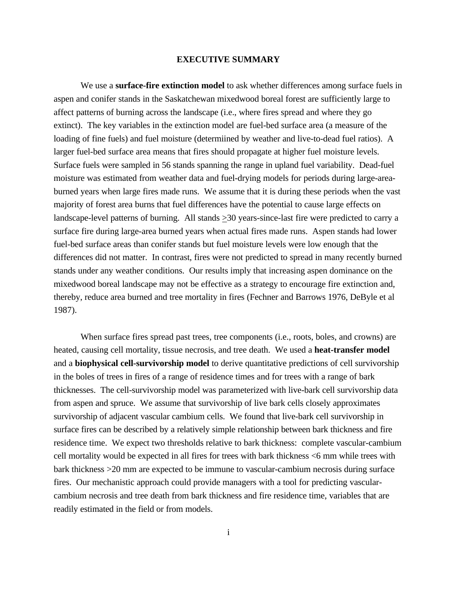### **EXECUTIVE SUMMARY**

We use a **surface-fire extinction model** to ask whether differences among surface fuels in aspen and conifer stands in the Saskatchewan mixedwood boreal forest are sufficiently large to affect patterns of burning across the landscape (i.e., where fires spread and where they go extinct). The key variables in the extinction model are fuel-bed surface area (a measure of the loading of fine fuels) and fuel moisture (determiined by weather and live-to-dead fuel ratios). A larger fuel-bed surface area means that fires should propagate at higher fuel moisture levels. Surface fuels were sampled in 56 stands spanning the range in upland fuel variability. Dead-fuel moisture was estimated from weather data and fuel-drying models for periods during large-areaburned years when large fires made runs. We assume that it is during these periods when the vast majority of forest area burns that fuel differences have the potential to cause large effects on landscape-level patterns of burning. All stands >30 years-since-last fire were predicted to carry a surface fire during large-area burned years when actual fires made runs. Aspen stands had lower fuel-bed surface areas than conifer stands but fuel moisture levels were low enough that the differences did not matter. In contrast, fires were not predicted to spread in many recently burned stands under any weather conditions. Our results imply that increasing aspen dominance on the mixedwood boreal landscape may not be effective as a strategy to encourage fire extinction and, thereby, reduce area burned and tree mortality in fires (Fechner and Barrows 1976, DeByle et al 1987).

When surface fires spread past trees, tree components (i.e., roots, boles, and crowns) are heated, causing cell mortality, tissue necrosis, and tree death. We used a **heat-transfer model** and a **biophysical cell-survivorship model** to derive quantitative predictions of cell survivorship in the boles of trees in fires of a range of residence times and for trees with a range of bark thicknesses. The cell-survivorship model was parameterized with live-bark cell survivorship data from aspen and spruce. We assume that survivorship of live bark cells closely approximates survivorship of adjacent vascular cambium cells. We found that live-bark cell survivorship in surface fires can be described by a relatively simple relationship between bark thickness and fire residence time. We expect two thresholds relative to bark thickness: complete vascular-cambium cell mortality would be expected in all fires for trees with bark thickness <6 mm while trees with bark thickness >20 mm are expected to be immune to vascular-cambium necrosis during surface fires. Our mechanistic approach could provide managers with a tool for predicting vascularcambium necrosis and tree death from bark thickness and fire residence time, variables that are readily estimated in the field or from models.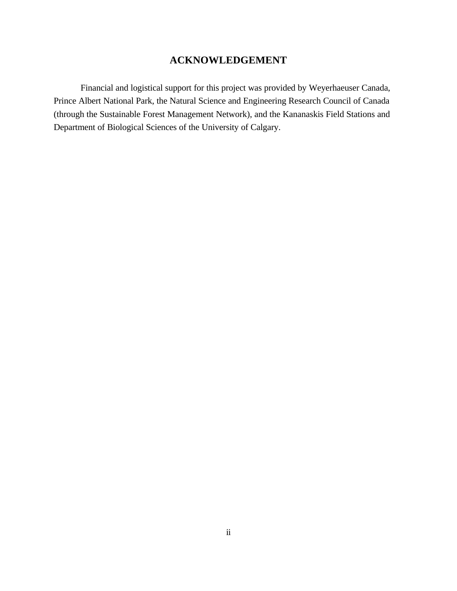# **ACKNOWLEDGEMENT**

Financial and logistical support for this project was provided by Weyerhaeuser Canada, Prince Albert National Park, the Natural Science and Engineering Research Council of Canada (through the Sustainable Forest Management Network), and the Kananaskis Field Stations and Department of Biological Sciences of the University of Calgary.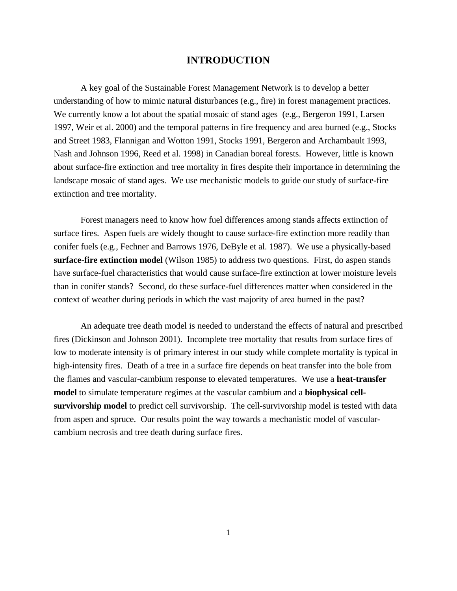## **INTRODUCTION**

A key goal of the Sustainable Forest Management Network is to develop a better understanding of how to mimic natural disturbances (e.g., fire) in forest management practices. We currently know a lot about the spatial mosaic of stand ages (e.g., Bergeron 1991, Larsen 1997, Weir et al. 2000) and the temporal patterns in fire frequency and area burned (e.g., Stocks and Street 1983, Flannigan and Wotton 1991, Stocks 1991, Bergeron and Archambault 1993, Nash and Johnson 1996, Reed et al. 1998) in Canadian boreal forests. However, little is known about surface-fire extinction and tree mortality in fires despite their importance in determining the landscape mosaic of stand ages. We use mechanistic models to guide our study of surface-fire extinction and tree mortality.

Forest managers need to know how fuel differences among stands affects extinction of surface fires. Aspen fuels are widely thought to cause surface-fire extinction more readily than conifer fuels (e.g., Fechner and Barrows 1976, DeByle et al. 1987). We use a physically-based **surface-fire extinction model** (Wilson 1985) to address two questions. First, do aspen stands have surface-fuel characteristics that would cause surface-fire extinction at lower moisture levels than in conifer stands? Second, do these surface-fuel differences matter when considered in the context of weather during periods in which the vast majority of area burned in the past?

An adequate tree death model is needed to understand the effects of natural and prescribed fires (Dickinson and Johnson 2001). Incomplete tree mortality that results from surface fires of low to moderate intensity is of primary interest in our study while complete mortality is typical in high-intensity fires. Death of a tree in a surface fire depends on heat transfer into the bole from the flames and vascular-cambium response to elevated temperatures. We use a **heat-transfer model** to simulate temperature regimes at the vascular cambium and a **biophysical cellsurvivorship model** to predict cell survivorship. The cell-survivorship model is tested with data from aspen and spruce. Our results point the way towards a mechanistic model of vascularcambium necrosis and tree death during surface fires.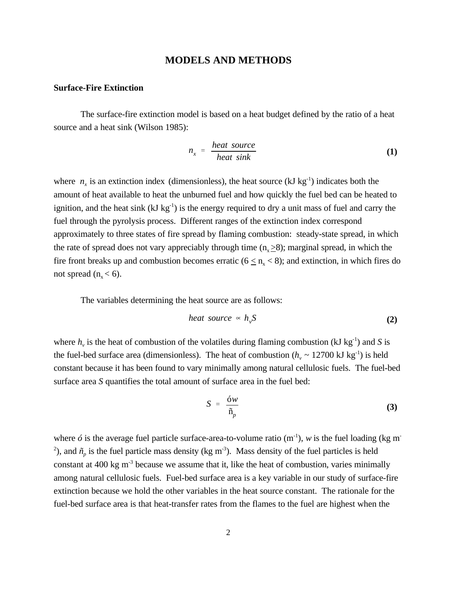### **MODELS AND METHODS**

### **Surface-Fire Extinction**

The surface-fire extinction model is based on a heat budget defined by the ratio of a heat source and a heat sink (Wilson 1985):

$$
n_x = \frac{heat\ source}{heat\ sink} \tag{1}
$$

where  $n<sub>x</sub>$  is an extinction index (dimensionless), the heat source (kJ kg<sup>-1</sup>) indicates both the amount of heat available to heat the unburned fuel and how quickly the fuel bed can be heated to ignition, and the heat sink  $(kJ kg<sup>-1</sup>)$  is the energy required to dry a unit mass of fuel and carry the fuel through the pyrolysis process. Different ranges of the extinction index correspond approximately to three states of fire spread by flaming combustion: steady-state spread, in which the rate of spread does not vary appreciably through time  $(n_x \geq 8)$ ; marginal spread, in which the fire front breaks up and combustion becomes erratic ( $6 \le n_{x} < 8$ ); and extinction, in which fires do not spread  $(n_x < 6)$ .

The variables determining the heat source are as follows:

$$
heat\ source\ \sim\ h_{\nu}S\tag{2}
$$

where  $h<sub>v</sub>$  is the heat of combustion of the volatiles during flaming combustion (kJ kg<sup>-1</sup>) and *S* is the fuel-bed surface area (dimensionless). The heat of combustion ( $h<sub>v</sub> \sim 12700 \text{ kJ kg}^{-1}$ ) is held constant because it has been found to vary minimally among natural cellulosic fuels. The fuel-bed surface area *S* quantifies the total amount of surface area in the fuel bed:

$$
S = \frac{6w}{\tilde{n}_p} \tag{3}
$$

where  $\acute{o}$  is the average fuel particle surface-area-to-volume ratio (m<sup>-1</sup>), *w* is the fuel loading (kg m<sup>-</sup> <sup>2</sup>), and  $\tilde{n}_p$  is the fuel particle mass density (kg m<sup>-3</sup>). Mass density of the fuel particles is held constant at  $400 \text{ kg m}^3$  because we assume that it, like the heat of combustion, varies minimally among natural cellulosic fuels. Fuel-bed surface area is a key variable in our study of surface-fire extinction because we hold the other variables in the heat source constant. The rationale for the fuel-bed surface area is that heat-transfer rates from the flames to the fuel are highest when the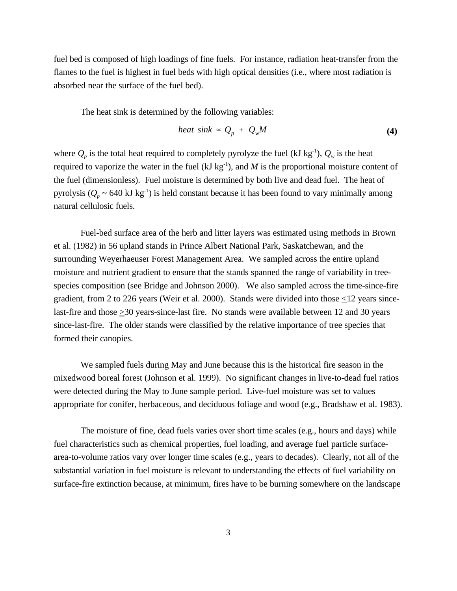fuel bed is composed of high loadings of fine fuels. For instance, radiation heat-transfer from the flames to the fuel is highest in fuel beds with high optical densities (i.e., where most radiation is absorbed near the surface of the fuel bed).

The heat sink is determined by the following variables:

$$
heat\,\,sin k \,\,\propto\,\,Q_p\,\,+\,\,Q_w M\tag{4}
$$

where  $Q_p$  is the total heat required to completely pyrolyze the fuel (kJ kg<sup>-1</sup>),  $Q_w$  is the heat required to vaporize the water in the fuel (kJ kg<sup>-1</sup>), and *M* is the proportional moisture content of the fuel (dimensionless). Fuel moisture is determined by both live and dead fuel. The heat of pyrolysis ( $Q_p \sim 640 \text{ kJ kg}^{-1}$ ) is held constant because it has been found to vary minimally among natural cellulosic fuels.

Fuel-bed surface area of the herb and litter layers was estimated using methods in Brown et al. (1982) in 56 upland stands in Prince Albert National Park, Saskatchewan, and the surrounding Weyerhaeuser Forest Management Area. We sampled across the entire upland moisture and nutrient gradient to ensure that the stands spanned the range of variability in treespecies composition (see Bridge and Johnson 2000). We also sampled across the time-since-fire gradient, from 2 to 226 years (Weir et al. 2000). Stands were divided into those  $\leq$ 12 years sincelast-fire and those >30 years-since-last fire. No stands were available between 12 and 30 years since-last-fire. The older stands were classified by the relative importance of tree species that formed their canopies.

We sampled fuels during May and June because this is the historical fire season in the mixedwood boreal forest (Johnson et al. 1999). No significant changes in live-to-dead fuel ratios were detected during the May to June sample period. Live-fuel moisture was set to values appropriate for conifer, herbaceous, and deciduous foliage and wood (e.g., Bradshaw et al. 1983).

The moisture of fine, dead fuels varies over short time scales (e.g., hours and days) while fuel characteristics such as chemical properties, fuel loading, and average fuel particle surfacearea-to-volume ratios vary over longer time scales (e.g., years to decades). Clearly, not all of the substantial variation in fuel moisture is relevant to understanding the effects of fuel variability on surface-fire extinction because, at minimum, fires have to be burning somewhere on the landscape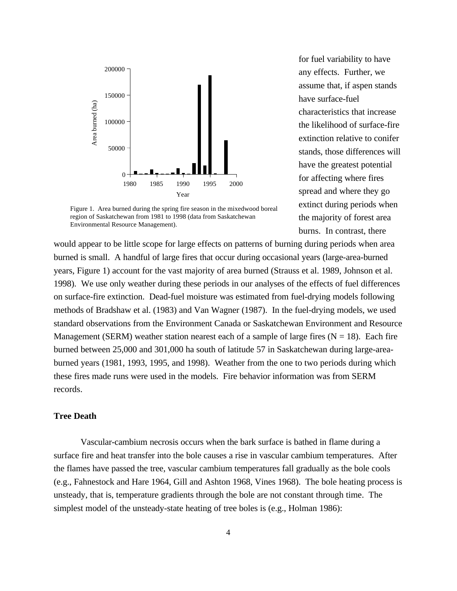

Figure 1. Area burned during the spring fire season in the mixedwood boreal region of Saskatchewan from 1981 to 1998 (data from Saskatchewan Environmental Resource Management).

for fuel variability to have any effects. Further, we assume that, if aspen stands have surface-fuel characteristics that increase the likelihood of surface-fire extinction relative to conifer stands, those differences will have the greatest potential for affecting where fires spread and where they go extinct during periods when the majority of forest area burns. In contrast, there

would appear to be little scope for large effects on patterns of burning during periods when area burned is small. A handful of large fires that occur during occasional years (large-area-burned years, Figure 1) account for the vast majority of area burned (Strauss et al. 1989, Johnson et al. 1998). We use only weather during these periods in our analyses of the effects of fuel differences on surface-fire extinction. Dead-fuel moisture was estimated from fuel-drying models following methods of Bradshaw et al. (1983) and Van Wagner (1987). In the fuel-drying models, we used standard observations from the Environment Canada or Saskatchewan Environment and Resource Management (SERM) weather station nearest each of a sample of large fires ( $N = 18$ ). Each fire burned between 25,000 and 301,000 ha south of latitude 57 in Saskatchewan during large-areaburned years (1981, 1993, 1995, and 1998). Weather from the one to two periods during which these fires made runs were used in the models. Fire behavior information was from SERM records.

### **Tree Death**

Vascular-cambium necrosis occurs when the bark surface is bathed in flame during a surface fire and heat transfer into the bole causes a rise in vascular cambium temperatures. After the flames have passed the tree, vascular cambium temperatures fall gradually as the bole cools (e.g., Fahnestock and Hare 1964, Gill and Ashton 1968, Vines 1968). The bole heating process is unsteady, that is, temperature gradients through the bole are not constant through time. The simplest model of the unsteady-state heating of tree boles is (e.g., Holman 1986):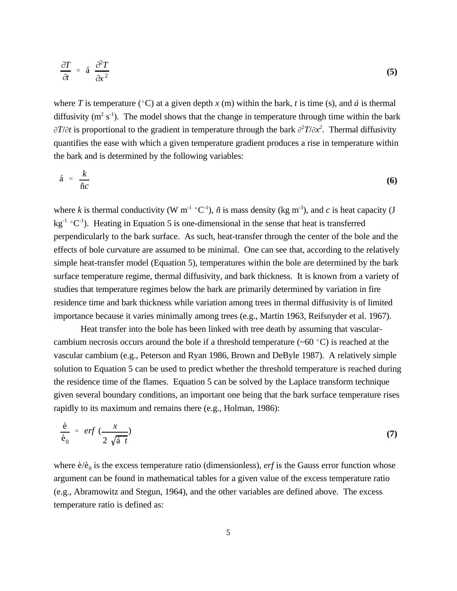$$
\frac{\partial T}{\partial t} = \hat{\mathbf{a}} \frac{\partial^2 T}{\partial x^2} \tag{5}
$$

where *T* is temperature ( $\degree$ C) at a given depth *x* (m) within the bark, *t* is time (s), and *á* is thermal diffusivity ( $m^2$  s<sup>-1</sup>). The model shows that the change in temperature through time within the bark  $\partial T/\partial t$  is proportional to the gradient in temperature through the bark  $\partial^2 T/\partial x^2$ . Thermal diffusivity quantifies the ease with which a given temperature gradient produces a rise in temperature within the bark and is determined by the following variables:

$$
\acute{a} = \frac{k}{\|c\|}\tag{6}
$$

where *k* is thermal conductivity (W m<sup>-1</sup> °C<sup>-1</sup>),  $\tilde{n}$  is mass density (kg m<sup>-3</sup>), and *c* is heat capacity (J  $kg^{-1}$  °C<sup>-1</sup>). Heating in Equation 5 is one-dimensional in the sense that heat is transferred perpendicularly to the bark surface. As such, heat-transfer through the center of the bole and the effects of bole curvature are assumed to be minimal. One can see that, according to the relatively simple heat-transfer model (Equation 5), temperatures within the bole are determined by the bark surface temperature regime, thermal diffusivity, and bark thickness. It is known from a variety of studies that temperature regimes below the bark are primarily determined by variation in fire residence time and bark thickness while variation among trees in thermal diffusivity is of limited importance because it varies minimally among trees (e.g., Martin 1963, Reifsnyder et al. 1967).

Heat transfer into the bole has been linked with tree death by assuming that vascularcambium necrosis occurs around the bole if a threshold temperature  $(\sim 60 \degree C)$  is reached at the vascular cambium (e.g., Peterson and Ryan 1986, Brown and DeByle 1987). A relatively simple solution to Equation 5 can be used to predict whether the threshold temperature is reached during the residence time of the flames. Equation 5 can be solved by the Laplace transform technique given several boundary conditions, an important one being that the bark surface temperature rises rapidly to its maximum and remains there (e.g., Holman, 1986):

$$
\frac{\dot{e}}{\dot{e}_0} = erf \left( \frac{x}{2\sqrt{\dot{a}} \ t} \right) \tag{7}
$$

where  $\hat{e}/\hat{e}_0$  is the excess temperature ratio (dimensionless), *erf* is the Gauss error function whose argument can be found in mathematical tables for a given value of the excess temperature ratio (e.g., Abramowitz and Stegun, 1964), and the other variables are defined above. The excess temperature ratio is defined as: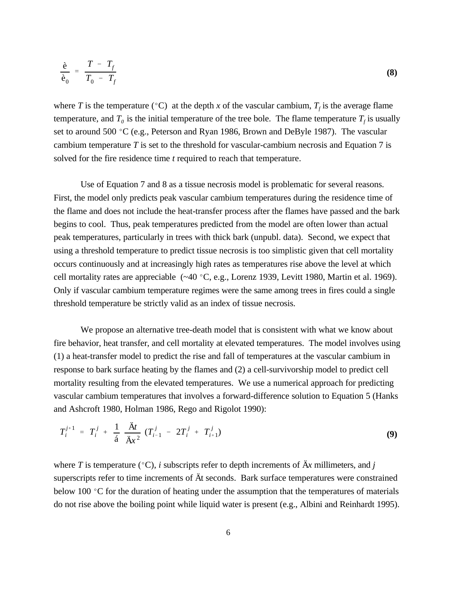$$
\frac{\dot{e}}{\dot{e}_0} = \frac{T - T_f}{T_0 - T_f} \tag{8}
$$

where *T* is the temperature (°C) at the depth *x* of the vascular cambium,  $T_f$  is the average flame temperature, and  $T_0$  is the initial temperature of the tree bole. The flame temperature  $T_f$  is usually set to around 500 °C (e.g., Peterson and Ryan 1986, Brown and DeByle 1987). The vascular cambium temperature *T* is set to the threshold for vascular-cambium necrosis and Equation 7 is solved for the fire residence time *t* required to reach that temperature.

Use of Equation 7 and 8 as a tissue necrosis model is problematic for several reasons. First, the model only predicts peak vascular cambium temperatures during the residence time of the flame and does not include the heat-transfer process after the flames have passed and the bark begins to cool. Thus, peak temperatures predicted from the model are often lower than actual peak temperatures, particularly in trees with thick bark (unpubl. data). Second, we expect that using a threshold temperature to predict tissue necrosis is too simplistic given that cell mortality occurs continuously and at increasingly high rates as temperatures rise above the level at which cell mortality rates are appreciable  $(-40 °C, e.g., Lorenz 1939, Levit 1980, Martin et al. 1969).$ Only if vascular cambium temperature regimes were the same among trees in fires could a single threshold temperature be strictly valid as an index of tissue necrosis.

We propose an alternative tree-death model that is consistent with what we know about fire behavior, heat transfer, and cell mortality at elevated temperatures. The model involves using (1) a heat-transfer model to predict the rise and fall of temperatures at the vascular cambium in response to bark surface heating by the flames and (2) a cell-survivorship model to predict cell mortality resulting from the elevated temperatures. We use a numerical approach for predicting vascular cambium temperatures that involves a forward-difference solution to Equation 5 (Hanks and Ashcroft 1980, Holman 1986, Rego and Rigolot 1990):

$$
T_i^{j+1} = T_i^j + \frac{1}{\acute{a}} \frac{\acute{A}t}{\ddot{A}x^2} (T_{i-1}^j - 2T_i^j + T_{i+1}^j)
$$
 (9)

where *T* is temperature ( $\degree$ C), *i* subscripts refer to depth increments of  $\ddot{A}x$  millimeters, and *j* superscripts refer to time increments of Ät seconds. Bark surface temperatures were constrained below 100  $\degree$ C for the duration of heating under the assumption that the temperatures of materials do not rise above the boiling point while liquid water is present (e.g., Albini and Reinhardt 1995).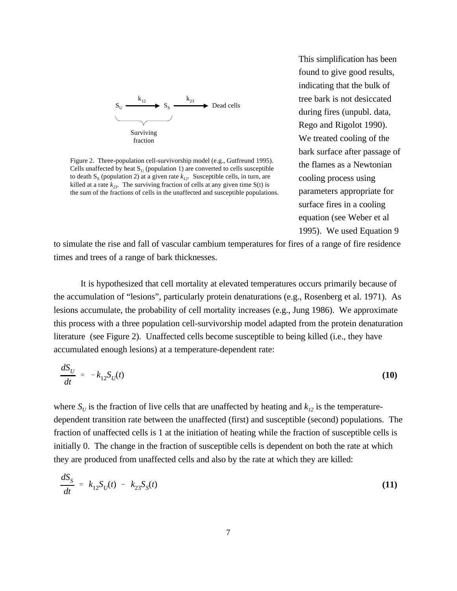

Figure 2. Three-population cell-survivorship model (e.g., Gutfreund 1995). Cells unaffected by heat  $S_U$  (population 1) are converted to cells susceptible to death  $S_s$  (population 2) at a given rate  $k_{12}$ . Susceptible cells, in turn, are killed at a rate  $k_{23}$ . The surviving fraction of cells at any given time  $S(t)$  is the sum of the fractions of cells in the unaffected and susceptible populations.

This simplification has been found to give good results, indicating that the bulk of tree bark is not desiccated during fires (unpubl. data, Rego and Rigolot 1990). We treated cooling of the bark surface after passage of the flames as a Newtonian cooling process using parameters appropriate for surface fires in a cooling equation (see Weber et al 1995). We used Equation 9

to simulate the rise and fall of vascular cambium temperatures for fires of a range of fire residence times and trees of a range of bark thicknesses.

It is hypothesized that cell mortality at elevated temperatures occurs primarily because of the accumulation of "lesions", particularly protein denaturations (e.g., Rosenberg et al. 1971). As lesions accumulate, the probability of cell mortality increases (e.g., Jung 1986). We approximate this process with a three population cell-survivorship model adapted from the protein denaturation literature (see Figure 2). Unaffected cells become susceptible to being killed (i.e., they have accumulated enough lesions) at a temperature-dependent rate:

$$
\frac{dS_U}{dt} = -k_{12}S_U(t) \tag{10}
$$

where  $S_U$  is the fraction of live cells that are unaffected by heating and  $k_{12}$  is the temperaturedependent transition rate between the unaffected (first) and susceptible (second) populations. The fraction of unaffected cells is 1 at the initiation of heating while the fraction of susceptible cells is initially 0. The change in the fraction of susceptible cells is dependent on both the rate at which they are produced from unaffected cells and also by the rate at which they are killed:

$$
\frac{dS_S}{dt} = k_{12} S_U(t) - k_{23} S_S(t) \tag{11}
$$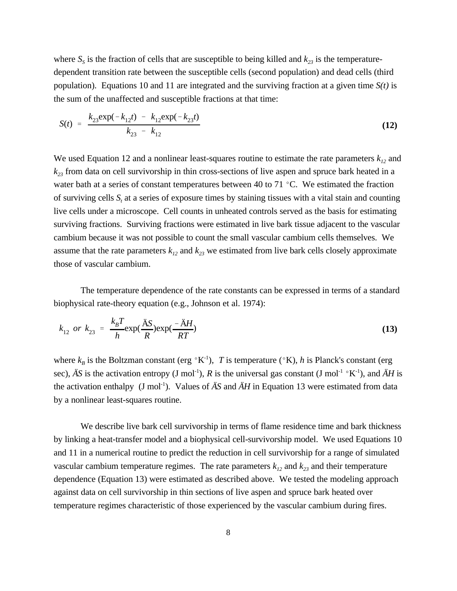where  $S<sub>S</sub>$  is the fraction of cells that are susceptible to being killed and  $k<sub>23</sub>$  is the temperaturedependent transition rate between the susceptible cells (second population) and dead cells (third population). Equations 10 and 11 are integrated and the surviving fraction at a given time *S(t)* is the sum of the unaffected and susceptible fractions at that time:

$$
S(t) = \frac{k_{23} \exp(-k_{12}t) - k_{12} \exp(-k_{23}t)}{k_{23} - k_{12}}
$$
\n(12)

We used Equation 12 and a nonlinear least-squares routine to estimate the rate parameters  $k_{12}$  and *k23* from data on cell survivorship in thin cross-sections of live aspen and spruce bark heated in a water bath at a series of constant temperatures between 40 to 71  $\degree$ C. We estimated the fraction of surviving cells  $S_t$  at a series of exposure times by staining tissues with a vital stain and counting live cells under a microscope. Cell counts in unheated controls served as the basis for estimating surviving fractions. Surviving fractions were estimated in live bark tissue adjacent to the vascular cambium because it was not possible to count the small vascular cambium cells themselves. We assume that the rate parameters  $k_{12}$  and  $k_{23}$  we estimated from live bark cells closely approximate those of vascular cambium.

The temperature dependence of the rate constants can be expressed in terms of a standard biophysical rate-theory equation (e.g., Johnson et al. 1974):

$$
k_{12} \text{ or } k_{23} = \frac{k_B T}{h} \exp(\frac{\text{AS}}{R}) \exp(\frac{-\text{AH}}{RT})
$$
\n(13)

where  $k_B$  is the Boltzman constant (erg  ${}^{\circ}K^{-1}$ ), *T* is temperature ( ${}^{\circ}K$ ), *h* is Planck's constant (erg sec),  $\ddot{A}S$  is the activation entropy (J mol<sup>-1</sup>), R is the universal gas constant (J mol<sup>-1</sup>  $\circ$ K<sup>-1</sup>), and  $\ddot{A}H$  is the activation enthalpy  $(J \text{ mol}^{-1})$ . Values of  $\ddot{A}S$  and  $\ddot{A}H$  in Equation 13 were estimated from data by a nonlinear least-squares routine.

We describe live bark cell survivorship in terms of flame residence time and bark thickness by linking a heat-transfer model and a biophysical cell-survivorship model. We used Equations 10 and 11 in a numerical routine to predict the reduction in cell survivorship for a range of simulated vascular cambium temperature regimes. The rate parameters  $k_{12}$  and  $k_{23}$  and their temperature dependence (Equation 13) were estimated as described above. We tested the modeling approach against data on cell survivorship in thin sections of live aspen and spruce bark heated over temperature regimes characteristic of those experienced by the vascular cambium during fires.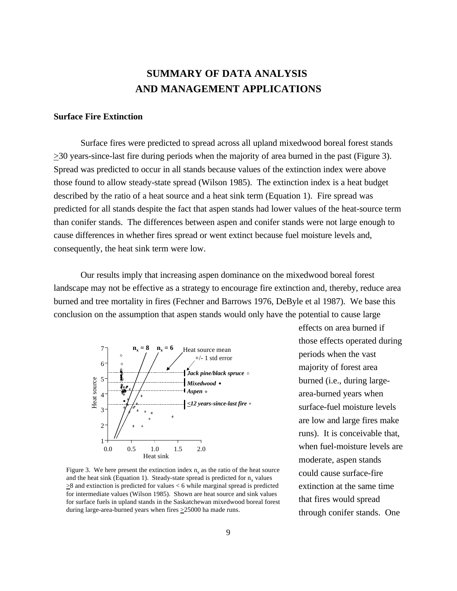# **SUMMARY OF DATA ANALYSIS AND MANAGEMENT APPLICATIONS**

#### **Surface Fire Extinction**

Surface fires were predicted to spread across all upland mixedwood boreal forest stands  $\geq$ 30 years-since-last fire during periods when the majority of area burned in the past (Figure 3). Spread was predicted to occur in all stands because values of the extinction index were above those found to allow steady-state spread (Wilson 1985). The extinction index is a heat budget described by the ratio of a heat source and a heat sink term (Equation 1). Fire spread was predicted for all stands despite the fact that aspen stands had lower values of the heat-source term than conifer stands. The differences between aspen and conifer stands were not large enough to cause differences in whether fires spread or went extinct because fuel moisture levels and, consequently, the heat sink term were low.

Our results imply that increasing aspen dominance on the mixedwood boreal forest landscape may not be effective as a strategy to encourage fire extinction and, thereby, reduce area burned and tree mortality in fires (Fechner and Barrows 1976, DeByle et al 1987). We base this conclusion on the assumption that aspen stands would only have the potential to cause large



Figure 3. We here present the extinction index  $n_x$  as the ratio of the heat source and the heat sink (Equation 1). Steady-state spread is predicted for  $n_x$  values >8 and extinction is predicted for values < 6 while marginal spread is predicted for intermediate values (Wilson 1985). Shown are heat source and sink values for surface fuels in upland stands in the Saskatchewan mixedwood boreal forest during large-area-burned years when fires >25000 ha made runs.

effects on area burned if those effects operated during periods when the vast majority of forest area burned (i.e., during largearea-burned years when surface-fuel moisture levels are low and large fires make runs). It is conceivable that, when fuel-moisture levels are moderate, aspen stands could cause surface-fire extinction at the same time that fires would spread through conifer stands. One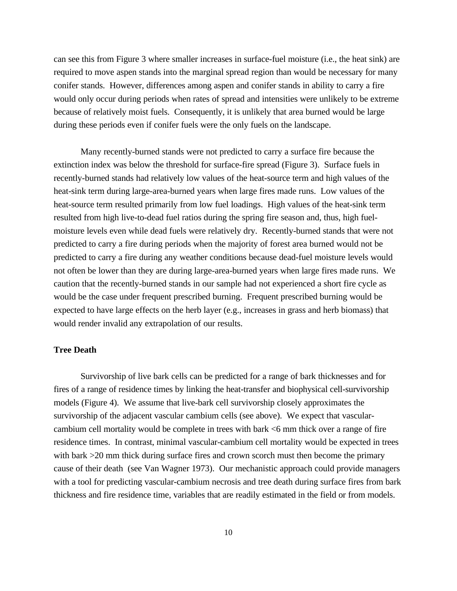can see this from Figure 3 where smaller increases in surface-fuel moisture (i.e., the heat sink) are required to move aspen stands into the marginal spread region than would be necessary for many conifer stands. However, differences among aspen and conifer stands in ability to carry a fire would only occur during periods when rates of spread and intensities were unlikely to be extreme because of relatively moist fuels. Consequently, it is unlikely that area burned would be large during these periods even if conifer fuels were the only fuels on the landscape.

Many recently-burned stands were not predicted to carry a surface fire because the extinction index was below the threshold for surface-fire spread (Figure 3). Surface fuels in recently-burned stands had relatively low values of the heat-source term and high values of the heat-sink term during large-area-burned years when large fires made runs. Low values of the heat-source term resulted primarily from low fuel loadings. High values of the heat-sink term resulted from high live-to-dead fuel ratios during the spring fire season and, thus, high fuelmoisture levels even while dead fuels were relatively dry. Recently-burned stands that were not predicted to carry a fire during periods when the majority of forest area burned would not be predicted to carry a fire during any weather conditions because dead-fuel moisture levels would not often be lower than they are during large-area-burned years when large fires made runs. We caution that the recently-burned stands in our sample had not experienced a short fire cycle as would be the case under frequent prescribed burning. Frequent prescribed burning would be expected to have large effects on the herb layer (e.g., increases in grass and herb biomass) that would render invalid any extrapolation of our results.

## **Tree Death**

Survivorship of live bark cells can be predicted for a range of bark thicknesses and for fires of a range of residence times by linking the heat-transfer and biophysical cell-survivorship models (Figure 4). We assume that live-bark cell survivorship closely approximates the survivorship of the adjacent vascular cambium cells (see above). We expect that vascularcambium cell mortality would be complete in trees with bark <6 mm thick over a range of fire residence times. In contrast, minimal vascular-cambium cell mortality would be expected in trees with bark  $>$ 20 mm thick during surface fires and crown scorch must then become the primary cause of their death (see Van Wagner 1973). Our mechanistic approach could provide managers with a tool for predicting vascular-cambium necrosis and tree death during surface fires from bark thickness and fire residence time, variables that are readily estimated in the field or from models.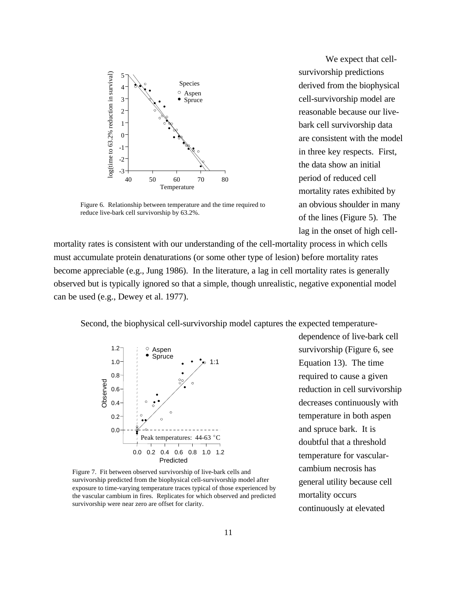

Figure 6. Relationship between temperature and the time required to  $\frac{1}{2}$  igure 0. Ketationship between temperature and the third requiredreduce live-bark cell survivorship by 63.2%.

We expect that cellsurvivorship predictions derived from the biophysical cell-survivorship model are reasonable because our livebark cell survivorship data are consistent with the model in three key respects. First, the data show an initial period of reduced cell mortality rates exhibited by an obvious shoulder in many of the lines (Figure 5). The lag in the onset of high cell-

mortality rates is consistent with our understanding of the cell-mortality process in which cells must accumulate protein denaturations (or some other type of lesion) before mortality rates become appreciable (e.g., Jung 1986). In the literature, a lag in cell mortality rates is generally observed but is typically ignored so that a simple, though unrealistic, negative exponential model can be used (e.g., Dewey et al. 1977).

Second, the biophysical cell-survivorship model captures the expected temperature-



survivorship predicted from the biophysical cell-survivorship model after exposure to time-varying temperature traces typical of those experienced by the vascular cambium in fires. Replicates for which observed and predicted survivorship were near zero are offset for clarity. Figure 7. Fit between observed survivorship of live-bark cells and

dependence of live-bark cell survivorship (Figure 6, see Equation 13). The time required to cause a given reduction in cell survivorship decreases continuously with temperature in both aspen and spruce bark. It is doubtful that a threshold temperature for vascularcambium necrosis has general utility because cell mortality occurs continuously at elevated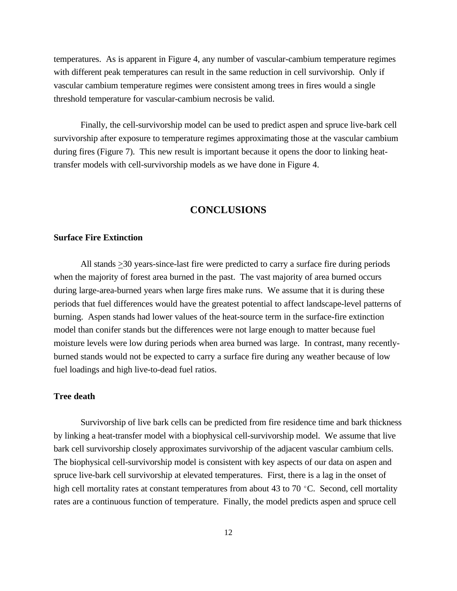temperatures. As is apparent in Figure 4, any number of vascular-cambium temperature regimes with different peak temperatures can result in the same reduction in cell survivorship. Only if vascular cambium temperature regimes were consistent among trees in fires would a single threshold temperature for vascular-cambium necrosis be valid.

Finally, the cell-survivorship model can be used to predict aspen and spruce live-bark cell survivorship after exposure to temperature regimes approximating those at the vascular cambium during fires (Figure 7). This new result is important because it opens the door to linking heattransfer models with cell-survivorship models as we have done in Figure 4.

# **CONCLUSIONS**

#### **Surface Fire Extinction**

All stands  $\geq$ 30 years-since-last fire were predicted to carry a surface fire during periods when the majority of forest area burned in the past. The vast majority of area burned occurs during large-area-burned years when large fires make runs. We assume that it is during these periods that fuel differences would have the greatest potential to affect landscape-level patterns of burning. Aspen stands had lower values of the heat-source term in the surface-fire extinction model than conifer stands but the differences were not large enough to matter because fuel moisture levels were low during periods when area burned was large. In contrast, many recentlyburned stands would not be expected to carry a surface fire during any weather because of low fuel loadings and high live-to-dead fuel ratios.

### **Tree death**

Survivorship of live bark cells can be predicted from fire residence time and bark thickness by linking a heat-transfer model with a biophysical cell-survivorship model. We assume that live bark cell survivorship closely approximates survivorship of the adjacent vascular cambium cells. The biophysical cell-survivorship model is consistent with key aspects of our data on aspen and spruce live-bark cell survivorship at elevated temperatures. First, there is a lag in the onset of high cell mortality rates at constant temperatures from about 43 to 70  $^{\circ}$ C. Second, cell mortality rates are a continuous function of temperature. Finally, the model predicts aspen and spruce cell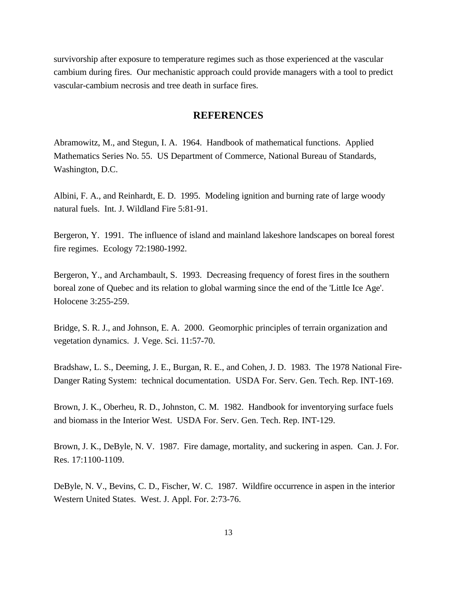survivorship after exposure to temperature regimes such as those experienced at the vascular cambium during fires. Our mechanistic approach could provide managers with a tool to predict vascular-cambium necrosis and tree death in surface fires.

# **REFERENCES**

Abramowitz, M., and Stegun, I. A. 1964. Handbook of mathematical functions. Applied Mathematics Series No. 55. US Department of Commerce, National Bureau of Standards, Washington, D.C.

Albini, F. A., and Reinhardt, E. D. 1995. Modeling ignition and burning rate of large woody natural fuels. Int. J. Wildland Fire 5:81-91.

Bergeron, Y. 1991. The influence of island and mainland lakeshore landscapes on boreal forest fire regimes. Ecology 72:1980-1992.

Bergeron, Y., and Archambault, S. 1993. Decreasing frequency of forest fires in the southern boreal zone of Quebec and its relation to global warming since the end of the 'Little Ice Age'. Holocene 3:255-259.

Bridge, S. R. J., and Johnson, E. A. 2000. Geomorphic principles of terrain organization and vegetation dynamics. J. Vege. Sci. 11:57-70.

Bradshaw, L. S., Deeming, J. E., Burgan, R. E., and Cohen, J. D. 1983. The 1978 National Fire-Danger Rating System: technical documentation. USDA For. Serv. Gen. Tech. Rep. INT-169.

Brown, J. K., Oberheu, R. D., Johnston, C. M. 1982. Handbook for inventorying surface fuels and biomass in the Interior West. USDA For. Serv. Gen. Tech. Rep. INT-129.

Brown, J. K., DeByle, N. V. 1987. Fire damage, mortality, and suckering in aspen. Can. J. For. Res. 17:1100-1109.

DeByle, N. V., Bevins, C. D., Fischer, W. C. 1987. Wildfire occurrence in aspen in the interior Western United States. West. J. Appl. For. 2:73-76.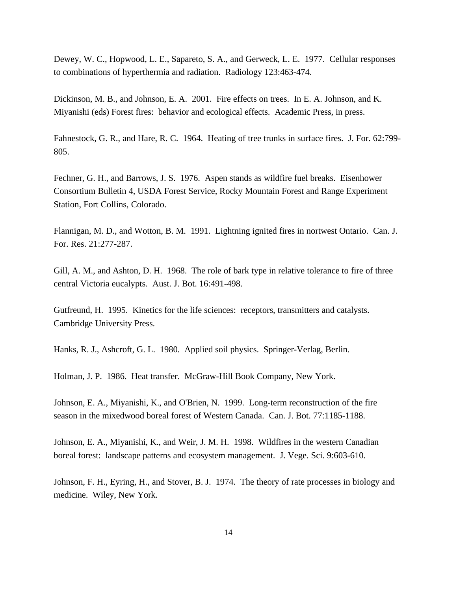Dewey, W. C., Hopwood, L. E., Sapareto, S. A., and Gerweck, L. E. 1977. Cellular responses to combinations of hyperthermia and radiation. Radiology 123:463-474.

Dickinson, M. B., and Johnson, E. A. 2001. Fire effects on trees. In E. A. Johnson, and K. Miyanishi (eds) Forest fires: behavior and ecological effects. Academic Press, in press.

Fahnestock, G. R., and Hare, R. C. 1964. Heating of tree trunks in surface fires. J. For. 62:799- 805.

Fechner, G. H., and Barrows, J. S. 1976. Aspen stands as wildfire fuel breaks. Eisenhower Consortium Bulletin 4, USDA Forest Service, Rocky Mountain Forest and Range Experiment Station, Fort Collins, Colorado.

Flannigan, M. D., and Wotton, B. M. 1991. Lightning ignited fires in nortwest Ontario. Can. J. For. Res. 21:277-287.

Gill, A. M., and Ashton, D. H. 1968. The role of bark type in relative tolerance to fire of three central Victoria eucalypts. Aust. J. Bot. 16:491-498.

Gutfreund, H. 1995. Kinetics for the life sciences: receptors, transmitters and catalysts. Cambridge University Press.

Hanks, R. J., Ashcroft, G. L. 1980. Applied soil physics. Springer-Verlag, Berlin.

Holman, J. P. 1986. Heat transfer. McGraw-Hill Book Company, New York.

Johnson, E. A., Miyanishi, K., and O'Brien, N. 1999. Long-term reconstruction of the fire season in the mixedwood boreal forest of Western Canada. Can. J. Bot. 77:1185-1188.

Johnson, E. A., Miyanishi, K., and Weir, J. M. H. 1998. Wildfires in the western Canadian boreal forest: landscape patterns and ecosystem management. J. Vege. Sci. 9:603-610.

Johnson, F. H., Eyring, H., and Stover, B. J. 1974. The theory of rate processes in biology and medicine. Wiley, New York.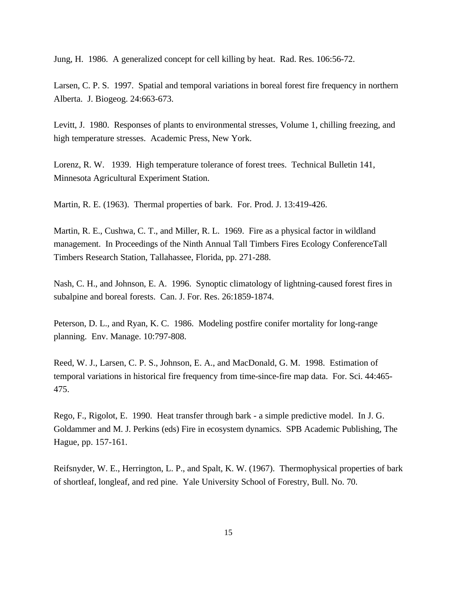Jung, H. 1986. A generalized concept for cell killing by heat. Rad. Res. 106:56-72.

Larsen, C. P. S. 1997. Spatial and temporal variations in boreal forest fire frequency in northern Alberta. J. Biogeog. 24:663-673.

Levitt, J. 1980. Responses of plants to environmental stresses, Volume 1, chilling freezing, and high temperature stresses. Academic Press, New York.

Lorenz, R. W. 1939. High temperature tolerance of forest trees. Technical Bulletin 141, Minnesota Agricultural Experiment Station.

Martin, R. E. (1963). Thermal properties of bark. For. Prod. J. 13:419-426.

Martin, R. E., Cushwa, C. T., and Miller, R. L. 1969. Fire as a physical factor in wildland management. In Proceedings of the Ninth Annual Tall Timbers Fires Ecology ConferenceTall Timbers Research Station, Tallahassee, Florida, pp. 271-288.

Nash, C. H., and Johnson, E. A. 1996. Synoptic climatology of lightning-caused forest fires in subalpine and boreal forests. Can. J. For. Res. 26:1859-1874.

Peterson, D. L., and Ryan, K. C. 1986. Modeling postfire conifer mortality for long-range planning. Env. Manage. 10:797-808.

Reed, W. J., Larsen, C. P. S., Johnson, E. A., and MacDonald, G. M. 1998. Estimation of temporal variations in historical fire frequency from time-since-fire map data. For. Sci. 44:465- 475.

Rego, F., Rigolot, E. 1990. Heat transfer through bark - a simple predictive model. In J. G. Goldammer and M. J. Perkins (eds) Fire in ecosystem dynamics. SPB Academic Publishing, The Hague, pp. 157-161.

Reifsnyder, W. E., Herrington, L. P., and Spalt, K. W. (1967). Thermophysical properties of bark of shortleaf, longleaf, and red pine. Yale University School of Forestry, Bull. No. 70.